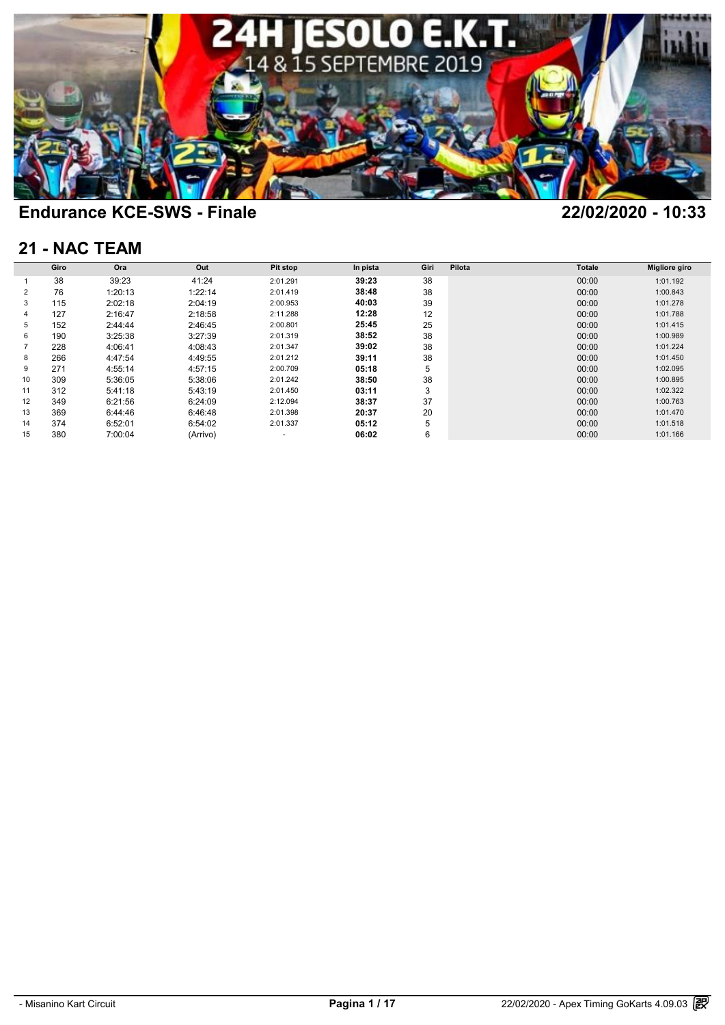

### **21 - NAC TEAM**

|    | Giro | Ora     | Out      | Pit stop | In pista | Giri | Pilota | <b>Totale</b> | Migliore giro |
|----|------|---------|----------|----------|----------|------|--------|---------------|---------------|
|    |      |         |          |          |          |      |        |               |               |
|    | 38   | 39:23   | 41:24    | 2:01.291 | 39:23    | 38   |        | 00:00         | 1:01.192      |
| 2  | 76   | 1:20:13 | 1:22:14  | 2:01.419 | 38:48    | 38   |        | 00:00         | 1:00.843      |
| 3  | 115  | 2:02:18 | 2:04:19  | 2:00.953 | 40:03    | 39   |        | 00:00         | 1:01.278      |
| 4  | 127  | 2:16:47 | 2:18:58  | 2:11.288 | 12:28    | 12   |        | 00:00         | 1:01.788      |
| 5  | 152  | 2:44:44 | 2:46:45  | 2:00.801 | 25:45    | 25   |        | 00:00         | 1:01.415      |
| 6  | 190  | 3:25:38 | 3:27:39  | 2:01.319 | 38:52    | 38   |        | 00:00         | 1:00.989      |
|    | 228  | 4:06:41 | 4:08:43  | 2:01.347 | 39:02    | 38   |        | 00:00         | 1:01.224      |
| 8  | 266  | 4:47:54 | 4:49:55  | 2:01.212 | 39:11    | 38   |        | 00:00         | 1:01.450      |
| 9  | 271  | 4:55:14 | 4:57:15  | 2:00.709 | 05:18    | 5    |        | 00:00         | 1:02.095      |
| 10 | 309  | 5:36:05 | 5:38:06  | 2:01.242 | 38:50    | 38   |        | 00:00         | 1:00.895      |
| 11 | 312  | 5:41:18 | 5:43:19  | 2:01.450 | 03:11    | 3    |        | 00:00         | 1:02.322      |
| 12 | 349  | 6:21:56 | 6:24:09  | 2:12.094 | 38:37    | 37   |        | 00:00         | 1:00.763      |
| 13 | 369  | 6:44:46 | 6:46:48  | 2:01.398 | 20:37    | 20   |        | 00:00         | 1:01.470      |
| 14 | 374  | 6:52:01 | 6:54:02  | 2:01.337 | 05:12    | 5    |        | 00:00         | 1:01.518      |
| 15 | 380  | 7:00:04 | (Arrivo) |          | 06:02    | 6    |        | 00:00         | 1:01.166      |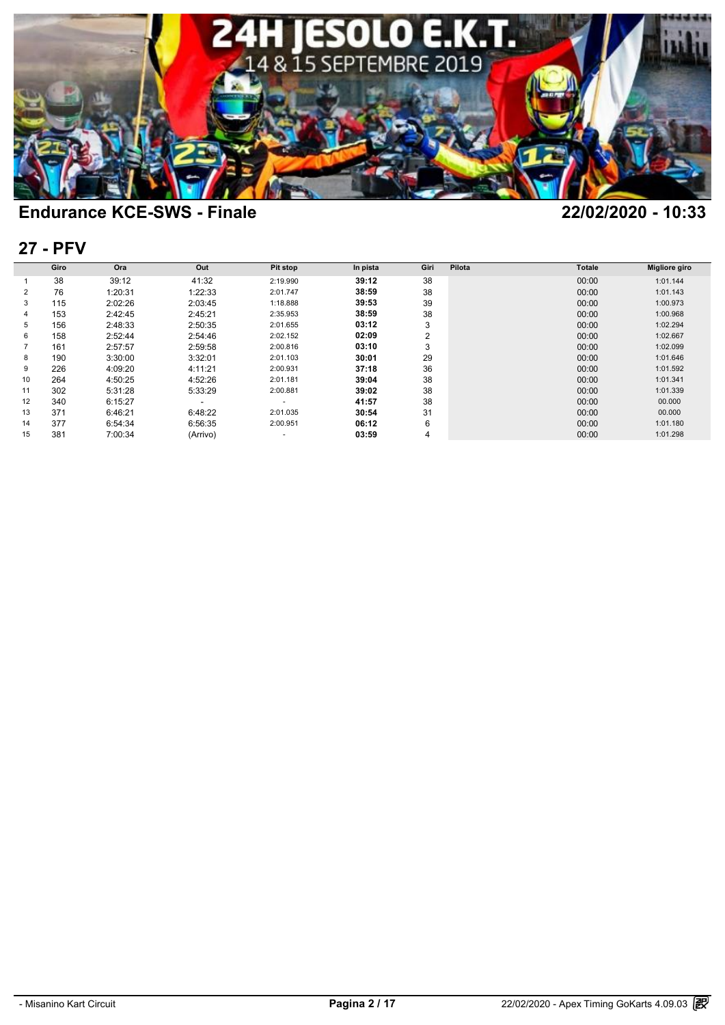

### **27 - PFV**

| <b>27 - PFV</b> |      |         |          |          |          |                |        |               |               |  |  |  |
|-----------------|------|---------|----------|----------|----------|----------------|--------|---------------|---------------|--|--|--|
|                 | Giro | Ora     | Out      | Pit stop | In pista | Giri           | Pilota | <b>Totale</b> | Migliore giro |  |  |  |
|                 | 38   | 39:12   | 41:32    | 2:19.990 | 39:12    | 38             |        | 00:00         | 1:01.144      |  |  |  |
| 2               | 76   | 1:20:31 | 1:22:33  | 2:01.747 | 38:59    | 38             |        | 00:00         | 1:01.143      |  |  |  |
| 3               | 115  | 2:02:26 | 2:03:45  | 1:18.888 | 39:53    | 39             |        | 00:00         | 1:00.973      |  |  |  |
| 4               | 153  | 2:42:45 | 2:45:21  | 2:35.953 | 38:59    | 38             |        | 00:00         | 1:00.968      |  |  |  |
| 5               | 156  | 2:48:33 | 2:50:35  | 2:01.655 | 03:12    | 3              |        | 00:00         | 1:02.294      |  |  |  |
| 6               | 158  | 2:52:44 | 2:54:46  | 2:02.152 | 02:09    | 2              |        | 00:00         | 1:02.667      |  |  |  |
|                 | 161  | 2:57:57 | 2:59:58  | 2:00.816 | 03:10    | 3              |        | 00:00         | 1:02.099      |  |  |  |
| 8               | 190  | 3:30:00 | 3:32:01  | 2:01.103 | 30:01    | 29             |        | 00:00         | 1:01.646      |  |  |  |
| 9               | 226  | 4:09:20 | 4:11:21  | 2:00.931 | 37:18    | 36             |        | 00:00         | 1:01.592      |  |  |  |
| 10              | 264  | 4:50:25 | 4:52:26  | 2:01.181 | 39:04    | 38             |        | 00:00         | 1:01.341      |  |  |  |
| 11              | 302  | 5:31:28 | 5:33:29  | 2:00.881 | 39:02    | 38             |        | 00:00         | 1:01.339      |  |  |  |
| 12              | 340  | 6:15:27 |          | ٠        | 41:57    | 38             |        | 00:00         | 00.000        |  |  |  |
| 13              | 371  | 6:46:21 | 6:48:22  | 2:01.035 | 30:54    | 31             |        | 00:00         | 00.000        |  |  |  |
| 14              | 377  | 6:54:34 | 6:56:35  | 2:00.951 | 06:12    | 6              |        | 00:00         | 1:01.180      |  |  |  |
| 15              | 381  | 7:00:34 | (Arrivo) | ٠        | 03:59    | $\overline{4}$ |        | 00:00         | 1:01.298      |  |  |  |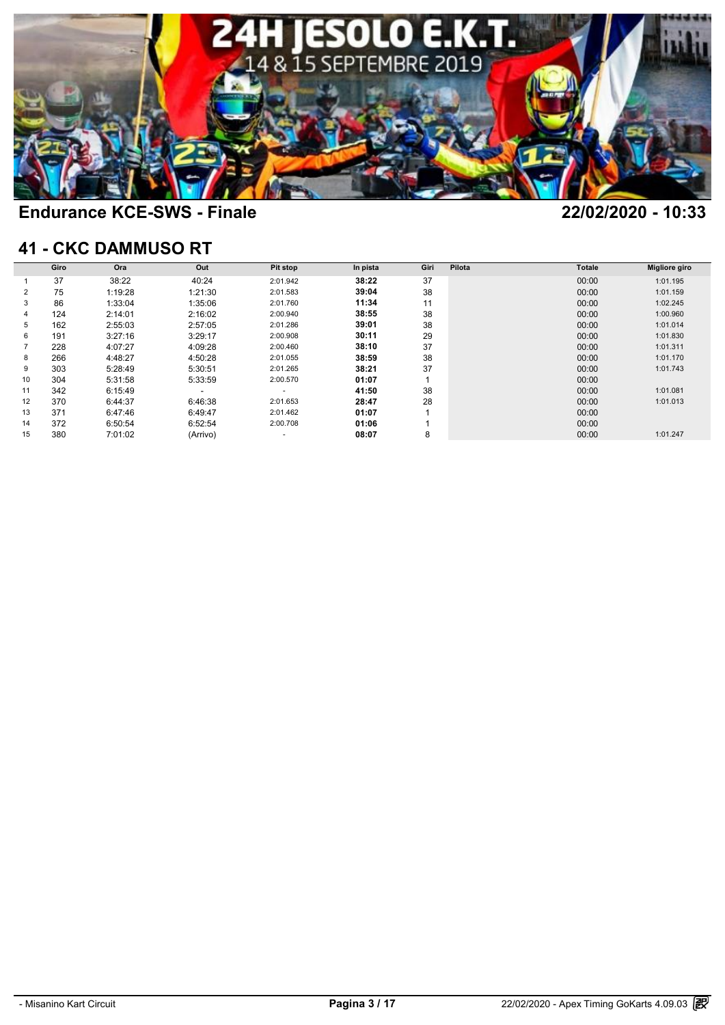

### **41 - CKC DAMMUSO RT**

|    | Giro | Ora     | Out      | Pit stop | In pista | Giri | Pilota | <b>Totale</b> | <b>Migliore giro</b> |
|----|------|---------|----------|----------|----------|------|--------|---------------|----------------------|
|    | 37   | 38:22   | 40:24    | 2:01.942 | 38:22    | 37   |        | 00:00         | 1:01.195             |
| 2  | 75   | 1:19:28 | 1:21:30  | 2:01.583 | 39:04    | 38   |        | 00:00         | 1:01.159             |
| 3  | 86   | 1:33:04 | 1:35:06  | 2:01.760 | 11:34    | 11   |        | 00:00         | 1:02.245             |
| 4  | 124  | 2:14:01 | 2:16:02  | 2:00.940 | 38:55    | 38   |        | 00:00         | 1:00.960             |
| 5  | 162  | 2:55:03 | 2:57:05  | 2:01.286 | 39:01    | 38   |        | 00:00         | 1:01.014             |
| 6  | 191  | 3:27:16 | 3:29:17  | 2:00.908 | 30:11    | 29   |        | 00:00         | 1:01.830             |
|    | 228  | 4:07:27 | 4:09:28  | 2:00.460 | 38:10    | 37   |        | 00:00         | 1:01.311             |
| 8  | 266  | 4:48:27 | 4:50:28  | 2:01.055 | 38:59    | 38   |        | 00:00         | 1:01.170             |
| 9  | 303  | 5:28:49 | 5:30:51  | 2:01.265 | 38:21    | 37   |        | 00:00         | 1:01.743             |
| 10 | 304  | 5:31:58 | 5:33:59  | 2:00.570 | 01:07    |      |        | 00:00         |                      |
| 11 | 342  | 6:15:49 |          | ٠        | 41:50    | 38   |        | 00:00         | 1:01.081             |
| 12 | 370  | 6:44:37 | 6:46:38  | 2:01.653 | 28:47    | 28   |        | 00:00         | 1:01.013             |
| 13 | 371  | 6:47:46 | 6:49:47  | 2:01.462 | 01:07    |      |        | 00:00         |                      |
| 14 | 372  | 6:50:54 | 6:52:54  | 2:00.708 | 01:06    |      |        | 00:00         |                      |
| 15 | 380  | 7:01:02 | (Arrivo) | ۰        | 08:07    | 8    |        | 00:00         | 1:01.247             |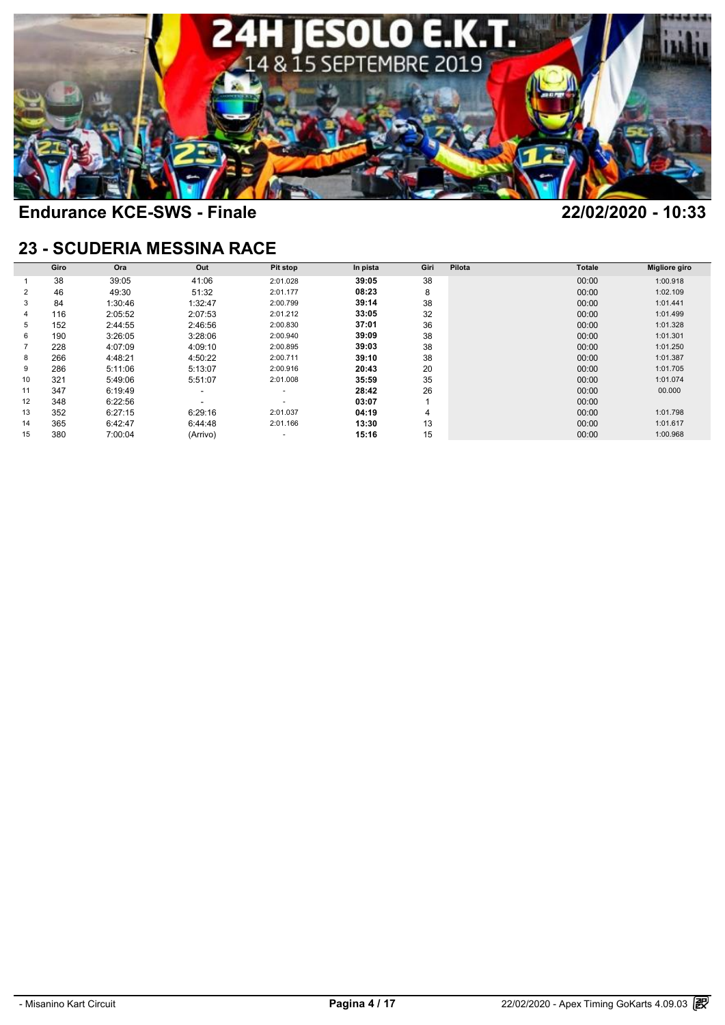

### **23 - SCUDERIA MESSINA RACE**

|    | Giro | Ora     | Out      | Pit stop                 | In pista | Giri | Pilota | <b>Totale</b> | <b>Migliore giro</b> |
|----|------|---------|----------|--------------------------|----------|------|--------|---------------|----------------------|
|    | 38   | 39:05   | 41:06    | 2:01.028                 | 39:05    | 38   |        | 00:00         | 1:00.918             |
| 2  | 46   | 49:30   | 51:32    | 2:01.177                 | 08:23    | 8    |        | 00:00         | 1:02.109             |
| 3  | 84   | 1:30:46 | 1:32:47  | 2:00.799                 | 39:14    | 38   |        | 00:00         | 1:01.441             |
|    | 116  | 2:05:52 | 2:07:53  | 2:01.212                 | 33:05    | 32   |        | 00:00         | 1:01.499             |
| 5  | 152  | 2:44:55 | 2:46:56  | 2:00.830                 | 37:01    | 36   |        | 00:00         | 1:01.328             |
|    | 190  | 3:26:05 | 3:28:06  | 2:00.940                 | 39:09    | 38   |        | 00:00         | 1:01.301             |
|    | 228  | 4:07:09 | 4:09:10  | 2:00.895                 | 39:03    | 38   |        | 00:00         | 1:01.250             |
|    | 266  | 4:48:21 | 4:50:22  | 2:00.711                 | 39:10    | 38   |        | 00:00         | 1:01.387             |
|    | 286  | 5:11:06 | 5:13:07  | 2:00.916                 | 20:43    | 20   |        | 00:00         | 1:01.705             |
| 10 | 321  | 5:49:06 | 5:51:07  | 2:01.008                 | 35:59    | 35   |        | 00:00         | 1:01.074             |
| 11 | 347  | 6:19:49 | ۰        | ٠                        | 28:42    | 26   |        | 00:00         | 00.000               |
| 12 | 348  | 6:22:56 |          | $\overline{\phantom{a}}$ | 03:07    |      |        | 00:00         |                      |
| 13 | 352  | 6:27:15 | 6:29:16  | 2:01.037                 | 04:19    | 4    |        | 00:00         | 1:01.798             |
|    | 365  | 6:42:47 | 6:44:48  | 2:01.166                 | 13:30    | 13   |        | 00:00         | 1:01.617             |
| 15 | 380  | 7:00:04 | (Arrivo) |                          | 15:16    | 15   |        | 00:00         | 1:00.968             |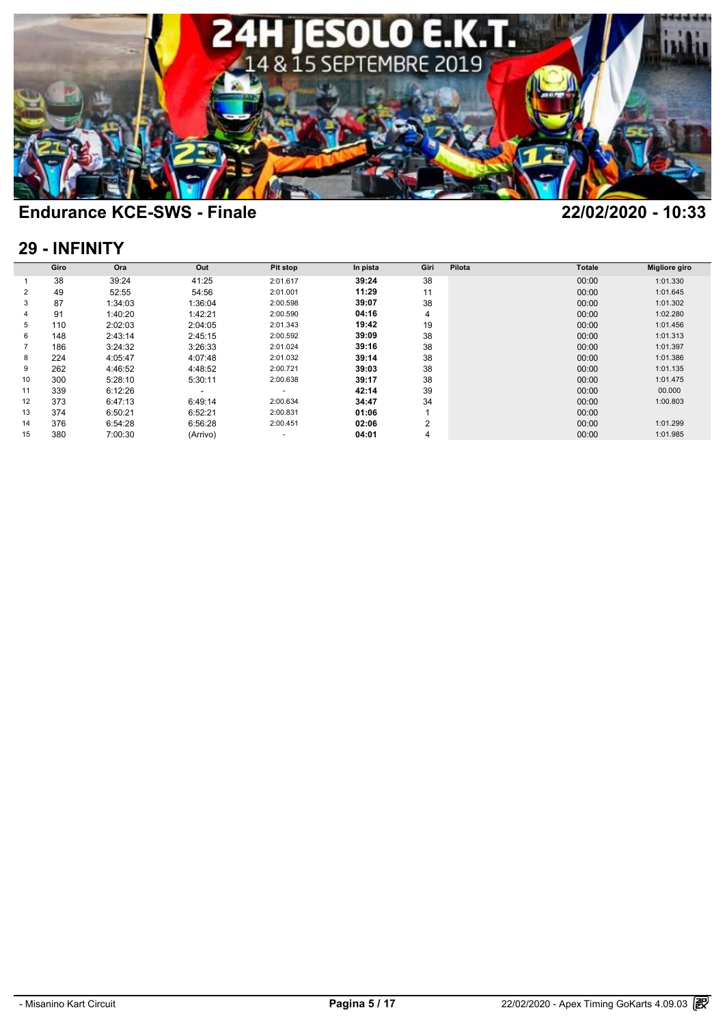

### **29 - INFINITY**

| 29 - INFINITY |      |         |          |          |          |      |        |               |               |  |  |  |
|---------------|------|---------|----------|----------|----------|------|--------|---------------|---------------|--|--|--|
|               | Giro | Ora     | Out      | Pit stop | In pista | Giri | Pilota | <b>Totale</b> | Migliore giro |  |  |  |
|               | 38   | 39:24   | 41:25    | 2:01.617 | 39:24    | 38   |        | 00:00         | 1:01.330      |  |  |  |
| 2             | 49   | 52:55   | 54:56    | 2:01.001 | 11:29    | 11   |        | 00:00         | 1:01.645      |  |  |  |
| 3             | 87   | 1:34:03 | 1:36:04  | 2:00.598 | 39:07    | 38   |        | 00:00         | 1:01.302      |  |  |  |
| 4             | 91   | 1:40:20 | 1:42:21  | 2:00.590 | 04:16    | 4    |        | 00:00         | 1:02.280      |  |  |  |
| 5             | 110  | 2:02:03 | 2:04:05  | 2:01.343 | 19:42    | 19   |        | 00:00         | 1:01.456      |  |  |  |
| 6             | 148  | 2:43:14 | 2:45:15  | 2:00.592 | 39:09    | 38   |        | 00:00         | 1:01.313      |  |  |  |
|               | 186  | 3:24:32 | 3:26:33  | 2:01.024 | 39:16    | 38   |        | 00:00         | 1:01.397      |  |  |  |
| 8             | 224  | 4:05:47 | 4:07:48  | 2:01.032 | 39:14    | 38   |        | 00:00         | 1:01.386      |  |  |  |
| 9             | 262  | 4:46:52 | 4:48:52  | 2:00.721 | 39:03    | 38   |        | 00:00         | 1:01.135      |  |  |  |
| 10            | 300  | 5:28:10 | 5:30:11  | 2:00.638 | 39:17    | 38   |        | 00:00         | 1:01.475      |  |  |  |
| 11            | 339  | 6:12:26 | -        | ٠        | 42:14    | 39   |        | 00:00         | 00.000        |  |  |  |
| 12            | 373  | 6:47:13 | 6:49:14  | 2:00.634 | 34:47    | 34   |        | 00:00         | 1:00.803      |  |  |  |
| 13            | 374  | 6:50:21 | 6:52:21  | 2:00.831 | 01:06    |      |        | 00:00         |               |  |  |  |
| 14            | 376  | 6:54:28 | 6:56:28  | 2:00.451 | 02:06    | 2    |        | 00:00         | 1:01.299      |  |  |  |
| 15            | 380  | 7:00:30 | (Arrivo) | ٠        | 04:01    | 4    |        | 00:00         | 1:01.985      |  |  |  |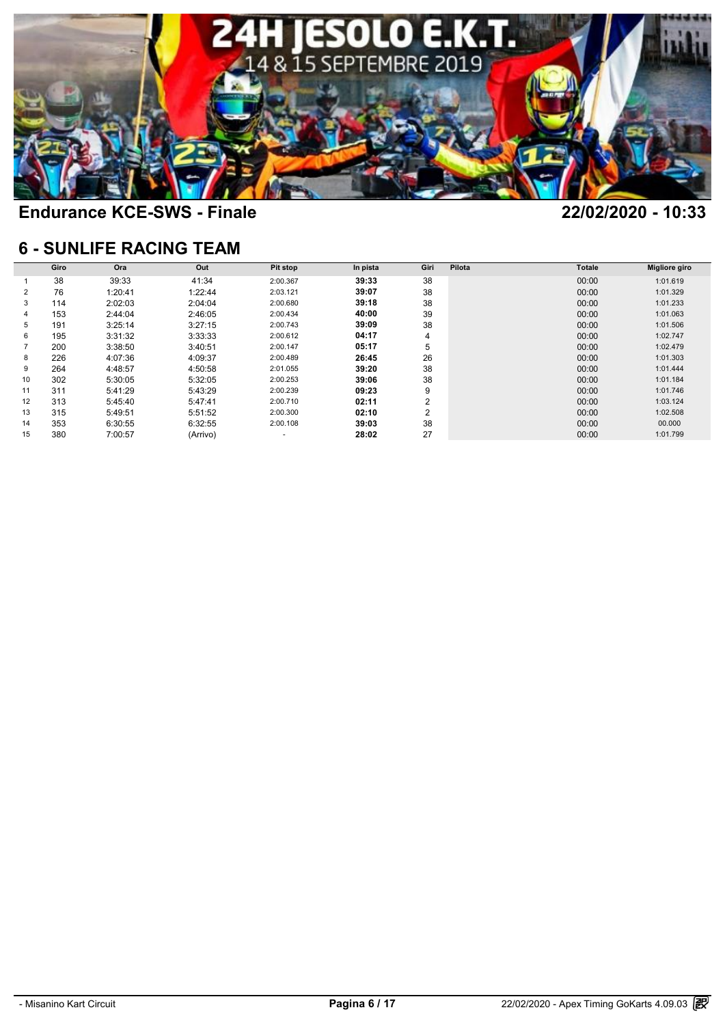

### **6 - SUNLIFE RACING TEAM**

|    |      |         | <b>6 - SUNLIFE RACING TEAM</b> |          |          |      |        |        |                      |
|----|------|---------|--------------------------------|----------|----------|------|--------|--------|----------------------|
|    | Giro | Ora     | Out                            | Pit stop | In pista | Giri | Pilota | Totale | <b>Migliore giro</b> |
|    | 38   | 39:33   | 41:34                          | 2:00.367 | 39:33    | 38   |        | 00:00  | 1:01.619             |
| 2  | 76   | 1:20:41 | 1:22:44                        | 2:03.121 | 39:07    | 38   |        | 00:00  | 1:01.329             |
| 3  | 114  | 2:02:03 | 2:04:04                        | 2:00.680 | 39:18    | 38   |        | 00:00  | 1:01.233             |
| 4  | 153  | 2:44:04 | 2:46:05                        | 2:00.434 | 40:00    | 39   |        | 00:00  | 1:01.063             |
| 5  | 191  | 3:25:14 | 3:27:15                        | 2:00.743 | 39:09    | 38   |        | 00:00  | 1:01.506             |
| 6  | 195  | 3:31:32 | 3:33:33                        | 2:00.612 | 04:17    | 4    |        | 00:00  | 1:02.747             |
|    | 200  | 3:38:50 | 3:40:51                        | 2:00.147 | 05:17    | 5    |        | 00:00  | 1:02.479             |
| 8  | 226  | 4:07:36 | 4:09:37                        | 2:00.489 | 26:45    | 26   |        | 00:00  | 1:01.303             |
| 9  | 264  | 4:48:57 | 4:50:58                        | 2:01.055 | 39:20    | 38   |        | 00:00  | 1:01.444             |
| 10 | 302  | 5:30:05 | 5:32:05                        | 2:00.253 | 39:06    | 38   |        | 00:00  | 1:01.184             |
| 11 | 311  | 5:41:29 | 5:43:29                        | 2:00.239 | 09:23    | 9    |        | 00:00  | 1:01.746             |
| 12 | 313  | 5:45:40 | 5:47:41                        | 2:00.710 | 02:11    | 2    |        | 00:00  | 1:03.124             |
| 13 | 315  | 5:49:51 | 5:51:52                        | 2:00.300 | 02:10    | 2    |        | 00:00  | 1:02.508             |
| 14 | 353  | 6:30:55 | 6:32:55                        | 2:00.108 | 39:03    | 38   |        | 00:00  | 00.000               |
| 15 | 380  | 7:00:57 | (Arrivo)                       |          | 28:02    | 27   |        | 00:00  | 1:01.799             |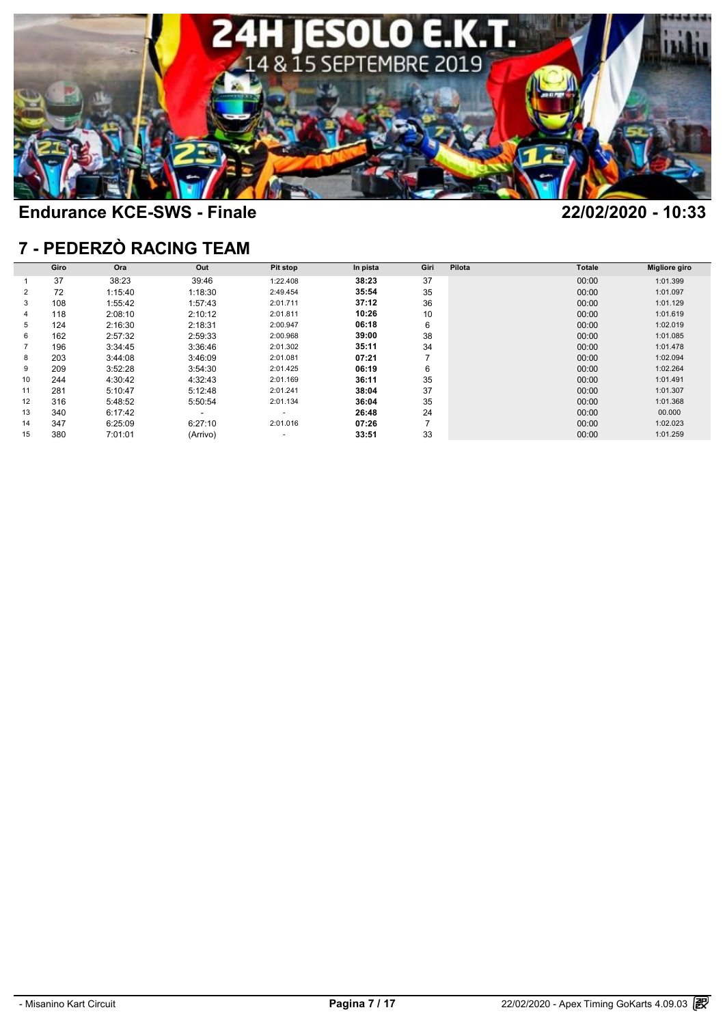

### **7 - PEDERZÒ RACING TEAM**

| <b>7 - PEDERZÒ RACING TEAM</b> |      |         |                          |          |          |      |        |        |               |  |  |  |  |
|--------------------------------|------|---------|--------------------------|----------|----------|------|--------|--------|---------------|--|--|--|--|
|                                | Giro | Ora     | Out                      | Pit stop | In pista | Giri | Pilota | Totale | Migliore giro |  |  |  |  |
|                                | 37   | 38:23   | 39:46                    | 1:22.408 | 38:23    | 37   |        | 00:00  | 1:01.399      |  |  |  |  |
| 2                              | 72   | 1:15:40 | 1:18:30                  | 2:49.454 | 35:54    | 35   |        | 00:00  | 1:01.097      |  |  |  |  |
| 3                              | 108  | 1:55:42 | 1:57:43                  | 2:01.711 | 37:12    | 36   |        | 00:00  | 1:01.129      |  |  |  |  |
|                                | 118  | 2:08:10 | 2:10:12                  | 2:01.811 | 10:26    | 10   |        | 00:00  | 1:01.619      |  |  |  |  |
| 5                              | 124  | 2:16:30 | 2:18:31                  | 2:00.947 | 06:18    | 6    |        | 00:00  | 1:02.019      |  |  |  |  |
|                                | 162  | 2:57:32 | 2:59:33                  | 2:00.968 | 39:00    | 38   |        | 00:00  | 1:01.085      |  |  |  |  |
|                                | 196  | 3:34:45 | 3:36:46                  | 2:01.302 | 35:11    | 34   |        | 00:00  | 1:01.478      |  |  |  |  |
| 8                              | 203  | 3:44:08 | 3:46:09                  | 2:01.081 | 07:21    | 7    |        | 00:00  | 1:02.094      |  |  |  |  |
|                                | 209  | 3:52:28 | 3:54:30                  | 2:01.425 | 06:19    | 6    |        | 00:00  | 1:02.264      |  |  |  |  |
| 10                             | 244  | 4:30:42 | 4:32:43                  | 2:01.169 | 36:11    | 35   |        | 00:00  | 1:01.491      |  |  |  |  |
| 11                             | 281  | 5:10:47 | 5:12:48                  | 2:01.241 | 38:04    | 37   |        | 00:00  | 1:01.307      |  |  |  |  |
| 12                             | 316  | 5:48:52 | 5:50:54                  | 2:01.134 | 36:04    | 35   |        | 00:00  | 1:01.368      |  |  |  |  |
| 13                             | 340  | 6:17:42 | $\overline{\phantom{0}}$ | ۰        | 26:48    | 24   |        | 00:00  | 00.000        |  |  |  |  |
| 14                             | 347  | 6:25:09 | 6:27:10                  | 2:01.016 | 07:26    | 7    |        | 00:00  | 1:02.023      |  |  |  |  |
|                                | 380  | 7:01:01 | (Arrivo)                 |          | 33:51    | 33   |        | 00:00  | 1:01.259      |  |  |  |  |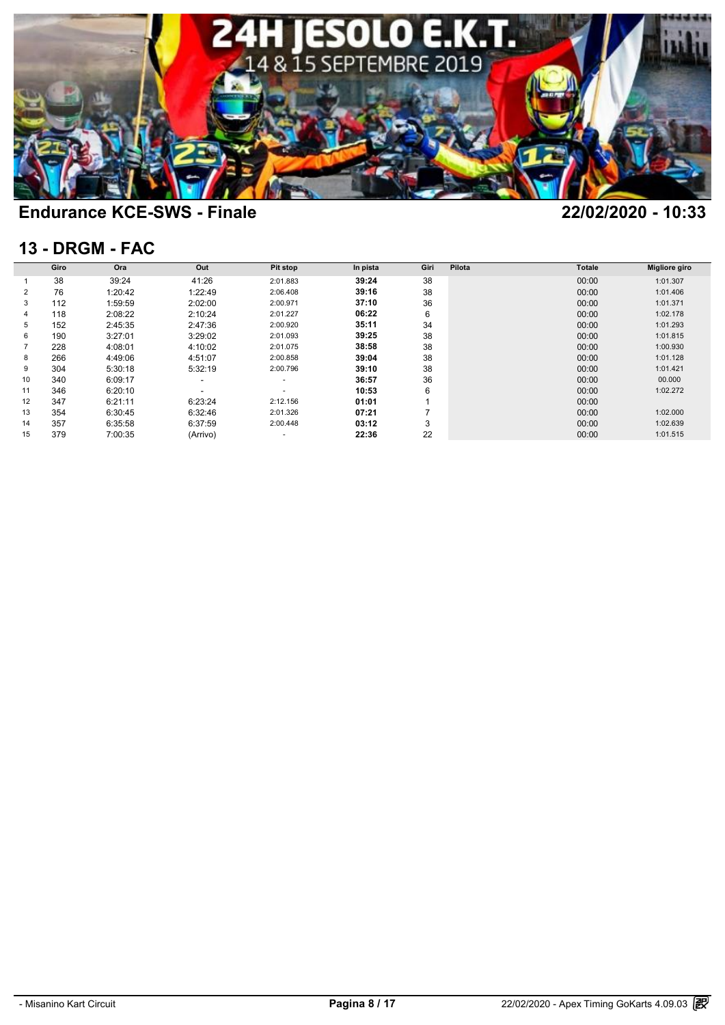

### **13 - DRGM - FAC**

| <b>13 - DRGM - FAC</b> |      |         |                          |                 |          |      |        |               |                      |  |  |  |
|------------------------|------|---------|--------------------------|-----------------|----------|------|--------|---------------|----------------------|--|--|--|
|                        | Giro | Ora     | Out                      | <b>Pit stop</b> | In pista | Giri | Pilota | <b>Totale</b> | <b>Migliore giro</b> |  |  |  |
|                        | 38   | 39:24   | 41:26                    | 2:01.883        | 39:24    | 38   |        | 00:00         | 1:01.307             |  |  |  |
| 2                      | 76   | 1:20:42 | 1:22:49                  | 2:06.408        | 39:16    | 38   |        | 00:00         | 1:01.406             |  |  |  |
| 3                      | 112  | 1:59:59 | 2:02:00                  | 2:00.971        | 37:10    | 36   |        | 00:00         | 1:01.371             |  |  |  |
| 4                      | 118  | 2:08:22 | 2:10:24                  | 2:01.227        | 06:22    | 6    |        | 00:00         | 1:02.178             |  |  |  |
| 5                      | 152  | 2:45:35 | 2:47:36                  | 2:00.920        | 35:11    | 34   |        | 00:00         | 1:01.293             |  |  |  |
| 6                      | 190  | 3:27:01 | 3:29:02                  | 2:01.093        | 39:25    | 38   |        | 00:00         | 1:01.815             |  |  |  |
|                        | 228  | 4:08:01 | 4:10:02                  | 2:01.075        | 38:58    | 38   |        | 00:00         | 1:00.930             |  |  |  |
| 8                      | 266  | 4:49:06 | 4:51:07                  | 2:00.858        | 39:04    | 38   |        | 00:00         | 1:01.128             |  |  |  |
| 9                      | 304  | 5:30:18 | 5:32:19                  | 2:00.796        | 39:10    | 38   |        | 00:00         | 1:01.421             |  |  |  |
| 10                     | 340  | 6:09:17 | $\overline{\phantom{a}}$ | ٠               | 36:57    | 36   |        | 00:00         | 00.000               |  |  |  |
| 11                     | 346  | 6:20:10 |                          |                 | 10:53    | 6    |        | 00:00         | 1:02.272             |  |  |  |
| 12                     | 347  | 6:21:11 | 6:23:24                  | 2:12.156        | 01:01    |      |        | 00:00         |                      |  |  |  |
| 13                     | 354  | 6:30:45 | 6:32:46                  | 2:01.326        | 07:21    |      |        | 00:00         | 1:02.000             |  |  |  |
| 14                     | 357  | 6:35:58 | 6:37:59                  | 2:00.448        | 03:12    | 3    |        | 00:00         | 1:02.639             |  |  |  |
| 15                     | 379  | 7:00:35 | (Arrivo)                 |                 | 22:36    | 22   |        | 00:00         | 1:01.515             |  |  |  |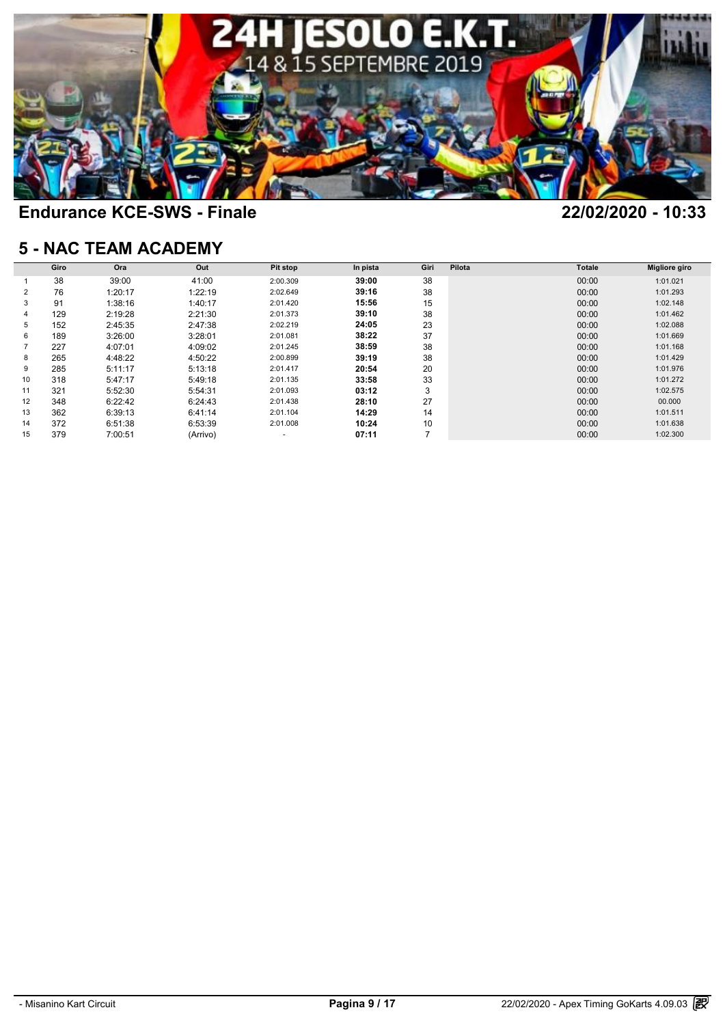

### **5 - NAC TEAM ACADEMY**

| <b>5 - NAC TEAM ACADEMY</b> |      |         |          |                 |          |                |        |               |                      |  |  |  |
|-----------------------------|------|---------|----------|-----------------|----------|----------------|--------|---------------|----------------------|--|--|--|
|                             | Giro | Ora     | Out      | <b>Pit stop</b> | In pista | Giri           | Pilota | <b>Totale</b> | <b>Migliore giro</b> |  |  |  |
|                             | 38   | 39:00   | 41:00    | 2:00.309        | 39:00    | 38             |        | 00:00         | 1:01.021             |  |  |  |
| 2                           | 76   | 1:20:17 | 1:22:19  | 2:02.649        | 39:16    | 38             |        | 00:00         | 1:01.293             |  |  |  |
| 3                           | 91   | 1:38:16 | 1:40:17  | 2:01.420        | 15:56    | 15             |        | 00:00         | 1:02.148             |  |  |  |
| 4                           | 129  | 2:19:28 | 2:21:30  | 2:01.373        | 39:10    | 38             |        | 00:00         | 1:01.462             |  |  |  |
| 5                           | 152  | 2:45:35 | 2:47:38  | 2:02.219        | 24:05    | 23             |        | 00:00         | 1:02.088             |  |  |  |
| 6                           | 189  | 3:26:00 | 3:28:01  | 2:01.081        | 38:22    | 37             |        | 00:00         | 1:01.669             |  |  |  |
|                             | 227  | 4:07:01 | 4:09:02  | 2:01.245        | 38:59    | 38             |        | 00:00         | 1:01.168             |  |  |  |
| 8                           | 265  | 4:48:22 | 4:50:22  | 2:00.899        | 39:19    | 38             |        | 00:00         | 1:01.429             |  |  |  |
| 9                           | 285  | 5:11:17 | 5:13:18  | 2:01.417        | 20:54    | 20             |        | 00:00         | 1:01.976             |  |  |  |
| 10                          | 318  | 5:47:17 | 5:49:18  | 2:01.135        | 33:58    | 33             |        | 00:00         | 1:01.272             |  |  |  |
| 11                          | 321  | 5:52:30 | 5:54:31  | 2:01.093        | 03:12    | 3              |        | 00:00         | 1:02.575             |  |  |  |
| 12                          | 348  | 6:22:42 | 6:24:43  | 2:01.438        | 28:10    | 27             |        | 00:00         | 00.000               |  |  |  |
| 13                          | 362  | 6:39:13 | 6:41:14  | 2:01.104        | 14:29    | 14             |        | 00:00         | 1:01.511             |  |  |  |
| 14                          | 372  | 6:51:38 | 6:53:39  | 2:01.008        | 10:24    | 10             |        | 00:00         | 1:01.638             |  |  |  |
| 15                          | 379  | 7:00:51 | (Arrivo) | ۰               | 07:11    | $\overline{7}$ |        | 00:00         | 1:02.300             |  |  |  |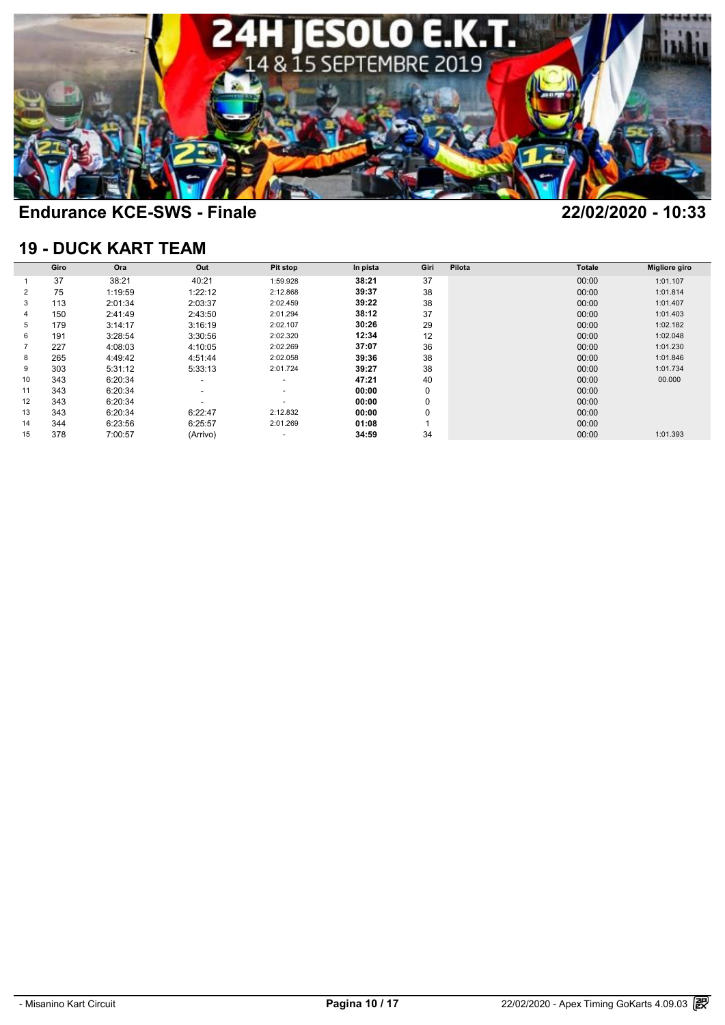

### **19 - DUCK KART TEAM**

| <b>19 - DUCK KART TEAM</b> |      |         |                          |                          |          |      |        |               |                      |  |  |  |  |
|----------------------------|------|---------|--------------------------|--------------------------|----------|------|--------|---------------|----------------------|--|--|--|--|
|                            | Giro | Ora     | Out                      | Pit stop                 | In pista | Giri | Pilota | <b>Totale</b> | <b>Migliore giro</b> |  |  |  |  |
|                            | 37   | 38:21   | 40:21                    | 1:59.928                 | 38:21    | 37   |        | 00:00         | 1:01.107             |  |  |  |  |
| 2                          | 75   | 1:19:59 | 1:22:12                  | 2:12.868                 | 39:37    | 38   |        | 00:00         | 1:01.814             |  |  |  |  |
| 3                          | 113  | 2:01:34 | 2:03:37                  | 2:02.459                 | 39:22    | 38   |        | 00:00         | 1:01.407             |  |  |  |  |
| 4                          | 150  | 2:41:49 | 2:43:50                  | 2:01.294                 | 38:12    | 37   |        | 00:00         | 1:01.403             |  |  |  |  |
| 5                          | 179  | 3:14:17 | 3:16:19                  | 2:02.107                 | 30:26    | 29   |        | 00:00         | 1:02.182             |  |  |  |  |
| 6                          | 191  | 3:28:54 | 3:30:56                  | 2:02.320                 | 12:34    | 12   |        | 00:00         | 1:02.048             |  |  |  |  |
|                            | 227  | 4:08:03 | 4:10:05                  | 2:02.269                 | 37:07    | 36   |        | 00:00         | 1:01.230             |  |  |  |  |
| 8                          | 265  | 4:49:42 | 4:51:44                  | 2:02.058                 | 39:36    | 38   |        | 00:00         | 1:01.846             |  |  |  |  |
| 9                          | 303  | 5:31:12 | 5:33:13                  | 2:01.724                 | 39:27    | 38   |        | 00:00         | 1:01.734             |  |  |  |  |
| 10                         | 343  | 6:20:34 | $\overline{\phantom{a}}$ | $\sim$                   | 47:21    | 40   |        | 00:00         | 00.000               |  |  |  |  |
| 11                         | 343  | 6:20:34 | $\overline{\phantom{a}}$ | $\overline{\phantom{a}}$ | 00:00    | 0    |        | 00:00         |                      |  |  |  |  |
| 12                         | 343  | 6:20:34 |                          | ۰                        | 00:00    | 0    |        | 00:00         |                      |  |  |  |  |
| 13                         | 343  | 6:20:34 | 6:22:47                  | 2:12.832                 | 00:00    | 0    |        | 00:00         |                      |  |  |  |  |
| 14                         | 344  | 6:23:56 | 6:25:57                  | 2:01.269                 | 01:08    |      |        | 00:00         |                      |  |  |  |  |
| 15                         | 378  | 7:00:57 | (Arrivo)                 |                          | 34:59    | 34   |        | 00:00         | 1:01.393             |  |  |  |  |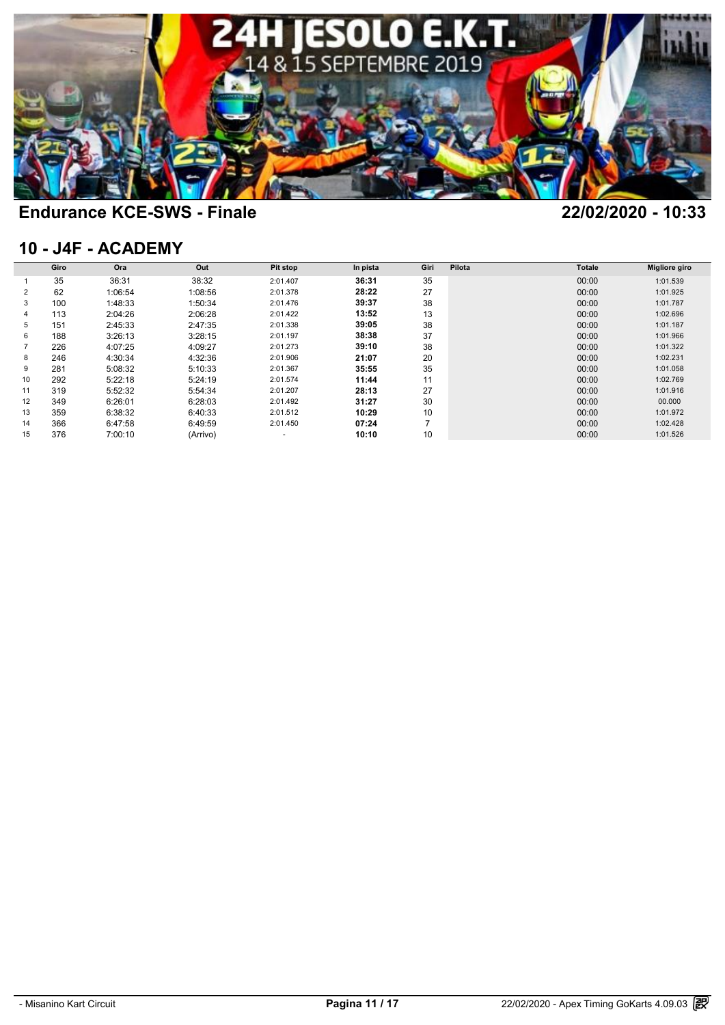

### **10 - J4F - ACADEMY**

| 10 - J4F - ACADEMY |      |         |          |          |          |      |        |               |                      |  |  |  |  |
|--------------------|------|---------|----------|----------|----------|------|--------|---------------|----------------------|--|--|--|--|
|                    | Giro | Ora     | Out      | Pit stop | In pista | Giri | Pilota | <b>Totale</b> | <b>Migliore giro</b> |  |  |  |  |
|                    | 35   | 36:31   | 38:32    | 2:01.407 | 36:31    | 35   |        | 00:00         | 1:01.539             |  |  |  |  |
| $\overline{2}$     | 62   | 1:06:54 | 1:08:56  | 2:01.378 | 28:22    | 27   |        | 00:00         | 1:01.925             |  |  |  |  |
| 3                  | 100  | 1:48:33 | 1:50:34  | 2:01.476 | 39:37    | 38   |        | 00:00         | 1:01.787             |  |  |  |  |
| 4                  | 113  | 2:04:26 | 2:06:28  | 2:01.422 | 13:52    | 13   |        | 00:00         | 1:02.696             |  |  |  |  |
| 5                  | 151  | 2:45:33 | 2:47:35  | 2:01.338 | 39:05    | 38   |        | 00:00         | 1:01.187             |  |  |  |  |
| 6                  | 188  | 3:26:13 | 3:28:15  | 2:01.197 | 38:38    | 37   |        | 00:00         | 1:01.966             |  |  |  |  |
|                    | 226  | 4:07:25 | 4:09:27  | 2:01.273 | 39:10    | 38   |        | 00:00         | 1:01.322             |  |  |  |  |
| 8                  | 246  | 4:30:34 | 4:32:36  | 2:01.906 | 21:07    | 20   |        | 00:00         | 1:02.231             |  |  |  |  |
| 9                  | 281  | 5:08:32 | 5:10:33  | 2:01.367 | 35:55    | 35   |        | 00:00         | 1:01.058             |  |  |  |  |
| 10                 | 292  | 5:22:18 | 5:24:19  | 2:01.574 | 11:44    | 11   |        | 00:00         | 1:02.769             |  |  |  |  |
| 11                 | 319  | 5:52:32 | 5:54:34  | 2:01.207 | 28:13    | 27   |        | 00:00         | 1:01.916             |  |  |  |  |
| 12                 | 349  | 6:26:01 | 6:28:03  | 2:01.492 | 31:27    | 30   |        | 00:00         | 00.000               |  |  |  |  |
| 13                 | 359  | 6:38:32 | 6:40:33  | 2:01.512 | 10:29    | 10   |        | 00:00         | 1:01.972             |  |  |  |  |
| 14                 | 366  | 6:47:58 | 6:49:59  | 2:01.450 | 07:24    | 7    |        | 00:00         | 1:02.428             |  |  |  |  |
| 15                 | 376  | 7:00:10 | (Arrivo) | ۰        | 10:10    | 10   |        | 00:00         | 1:01.526             |  |  |  |  |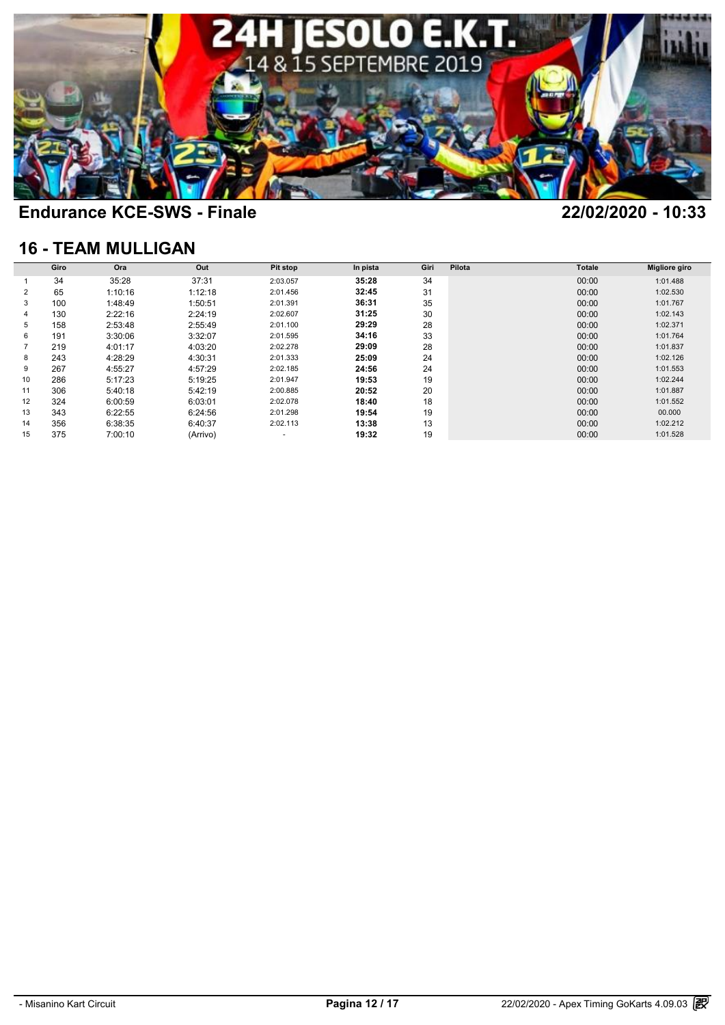

### **16 - TEAM MULLIGAN**

| <b>16 - TEAM MULLIGAN</b> |      |         |          |                 |          |      |        |               |                      |  |  |  |
|---------------------------|------|---------|----------|-----------------|----------|------|--------|---------------|----------------------|--|--|--|
|                           | Giro | Ora     | Out      | <b>Pit stop</b> | In pista | Giri | Pilota | <b>Totale</b> | <b>Migliore giro</b> |  |  |  |
|                           | 34   | 35:28   | 37:31    | 2:03.057        | 35:28    | 34   |        | 00:00         | 1:01.488             |  |  |  |
| 2                         | 65   | 1:10:16 | 1:12:18  | 2:01.456        | 32:45    | 31   |        | 00:00         | 1:02.530             |  |  |  |
| 3                         | 100  | 1:48:49 | 1:50:51  | 2:01.391        | 36:31    | 35   |        | 00:00         | 1:01.767             |  |  |  |
| 4                         | 130  | 2:22:16 | 2:24:19  | 2:02.607        | 31:25    | 30   |        | 00:00         | 1:02.143             |  |  |  |
| 5                         | 158  | 2:53:48 | 2:55:49  | 2:01.100        | 29:29    | 28   |        | 00:00         | 1:02.371             |  |  |  |
| 6                         | 191  | 3:30:06 | 3:32:07  | 2:01.595        | 34:16    | 33   |        | 00:00         | 1:01.764             |  |  |  |
|                           | 219  | 4:01:17 | 4:03:20  | 2:02.278        | 29:09    | 28   |        | 00:00         | 1:01.837             |  |  |  |
| 8                         | 243  | 4:28:29 | 4:30:31  | 2:01.333        | 25:09    | 24   |        | 00:00         | 1:02.126             |  |  |  |
| 9                         | 267  | 4:55:27 | 4:57:29  | 2:02.185        | 24:56    | 24   |        | 00:00         | 1:01.553             |  |  |  |
| 10                        | 286  | 5:17:23 | 5:19:25  | 2:01.947        | 19:53    | 19   |        | 00:00         | 1:02.244             |  |  |  |
| 11                        | 306  | 5:40:18 | 5:42:19  | 2:00.885        | 20:52    | 20   |        | 00:00         | 1:01.887             |  |  |  |
| 12                        | 324  | 6:00:59 | 6:03:01  | 2:02.078        | 18:40    | 18   |        | 00:00         | 1:01.552             |  |  |  |
| 13                        | 343  | 6:22:55 | 6:24:56  | 2:01.298        | 19:54    | 19   |        | 00:00         | 00.000               |  |  |  |
| 14                        | 356  | 6:38:35 | 6:40:37  | 2:02.113        | 13:38    | 13   |        | 00:00         | 1:02.212             |  |  |  |
| 15                        | 375  | 7:00:10 | (Arrivo) |                 | 19:32    | 19   |        | 00:00         | 1:01.528             |  |  |  |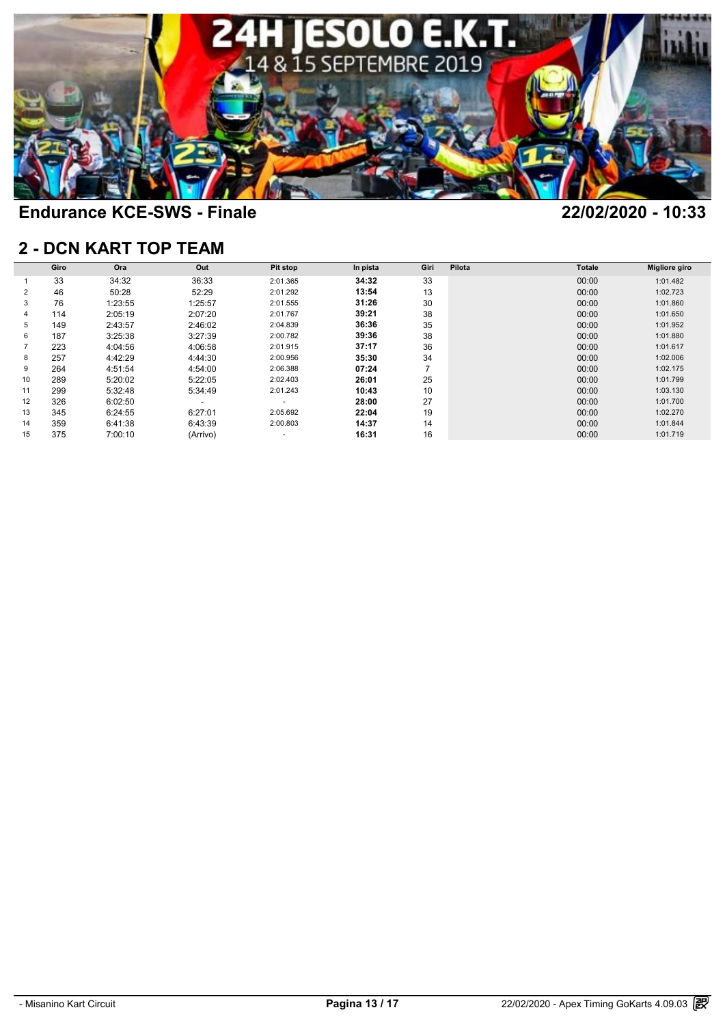

### **2 - DCN KART TOP TEAM**

|    | Giro | Ora     | Out      | Pit stop                 | In pista | Giri           | Pilota | Totale | <b>Migliore giro</b> |
|----|------|---------|----------|--------------------------|----------|----------------|--------|--------|----------------------|
|    | 33   | 34:32   | 36:33    | 2:01.365                 | 34:32    | 33             |        | 00:00  | 1:01.482             |
| 2  | 46   | 50:28   | 52:29    | 2:01.292                 | 13:54    | 13             |        | 00:00  | 1:02.723             |
| 3  | 76   | 1:23:55 | 1:25:57  | 2:01.555                 | 31:26    | 30             |        | 00:00  | 1:01.860             |
| 4  | 114  | 2:05:19 | 2:07:20  | 2:01.767                 | 39:21    | 38             |        | 00:00  | 1:01.650             |
| 5  | 149  | 2:43:57 | 2:46:02  | 2:04.839                 | 36:36    | 35             |        | 00:00  | 1:01.952             |
| 6  | 187  | 3:25:38 | 3:27:39  | 2:00.782                 | 39:36    | 38             |        | 00:00  | 1:01.880             |
|    | 223  | 4:04:56 | 4:06:58  | 2:01.915                 | 37:17    | 36             |        | 00:00  | 1:01.617             |
| 8  | 257  | 4:42:29 | 4:44:30  | 2:00.956                 | 35:30    | 34             |        | 00:00  | 1:02.006             |
| 9  | 264  | 4:51:54 | 4:54:00  | 2:06.388                 | 07:24    | $\overline{ }$ |        | 00:00  | 1:02.175             |
| 10 | 289  | 5:20:02 | 5:22:05  | 2:02.403                 | 26:01    | 25             |        | 00:00  | 1:01.799             |
| 11 | 299  | 5:32:48 | 5:34:49  | 2:01.243                 | 10:43    | 10             |        | 00:00  | 1:03.130             |
| 12 | 326  | 6:02:50 |          | $\overline{\phantom{a}}$ | 28:00    | 27             |        | 00:00  | 1:01.700             |
| 13 | 345  | 6:24:55 | 6:27:01  | 2:05.692                 | 22:04    | 19             |        | 00:00  | 1:02.270             |
| 14 | 359  | 6:41:38 | 6:43:39  | 2:00.803                 | 14:37    | 14             |        | 00:00  | 1:01.844             |
| 15 | 375  | 7:00:10 | (Arrivo) |                          | 16:31    | 16             |        | 00:00  | 1:01.719             |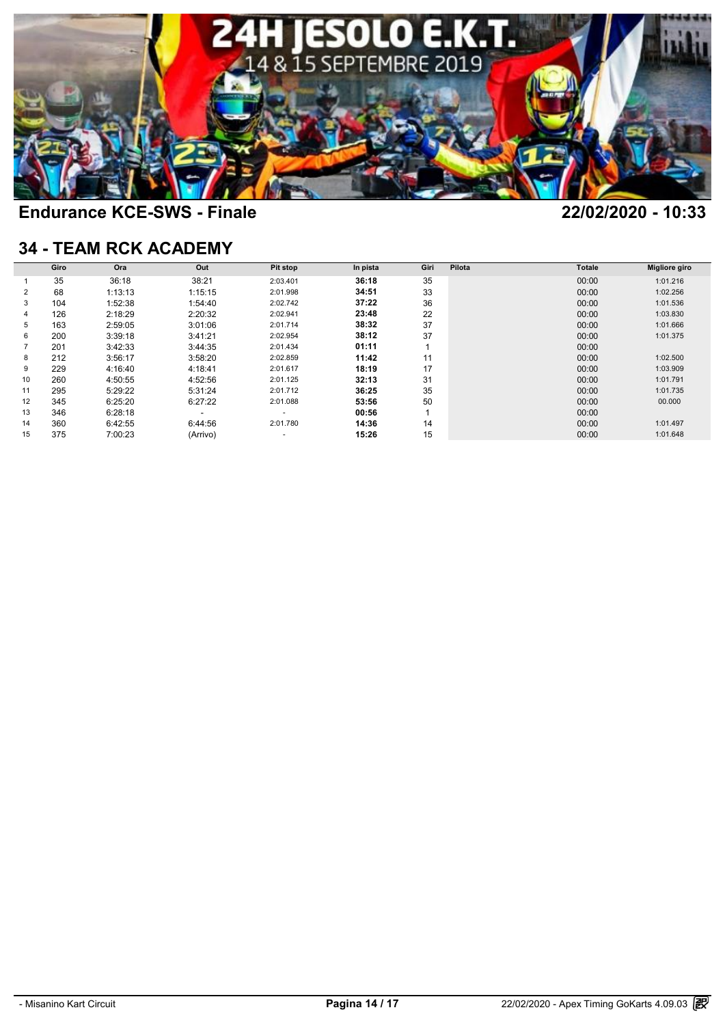

### **34 - TEAM RCK ACADEMY**

| <b>34 - TEAM RCK ACADEMY</b> |      |         |          |                 |          |      |        |               |                      |  |
|------------------------------|------|---------|----------|-----------------|----------|------|--------|---------------|----------------------|--|
|                              | Giro | Ora     | Out      | <b>Pit stop</b> | In pista | Giri | Pilota | <b>Totale</b> | <b>Migliore giro</b> |  |
|                              | 35   | 36:18   | 38:21    | 2:03.401        | 36:18    | 35   |        | 00:00         | 1:01.216             |  |
| 2                            | 68   | 1:13:13 | 1:15:15  | 2:01.998        | 34:51    | 33   |        | 00:00         | 1:02.256             |  |
| 3                            | 104  | 1:52:38 | 1:54:40  | 2:02.742        | 37:22    | 36   |        | 00:00         | 1:01.536             |  |
| 4                            | 126  | 2:18:29 | 2:20:32  | 2:02.941        | 23:48    | 22   |        | 00:00         | 1:03.830             |  |
| 5                            | 163  | 2:59:05 | 3:01:06  | 2:01.714        | 38:32    | 37   |        | 00:00         | 1:01.666             |  |
| 6                            | 200  | 3:39:18 | 3:41:21  | 2:02.954        | 38:12    | 37   |        | 00:00         | 1:01.375             |  |
|                              | 201  | 3:42:33 | 3:44:35  | 2:01.434        | 01:11    |      |        | 00:00         |                      |  |
| 8                            | 212  | 3:56:17 | 3:58:20  | 2:02.859        | 11:42    | 11   |        | 00:00         | 1:02.500             |  |
| 9                            | 229  | 4:16:40 | 4:18:41  | 2:01.617        | 18:19    | 17   |        | 00:00         | 1:03.909             |  |
| 10                           | 260  | 4:50:55 | 4:52:56  | 2:01.125        | 32:13    | 31   |        | 00:00         | 1:01.791             |  |
| 11                           | 295  | 5:29:22 | 5:31:24  | 2:01.712        | 36:25    | 35   |        | 00:00         | 1:01.735             |  |
| 12                           | 345  | 6:25:20 | 6:27:22  | 2:01.088        | 53:56    | 50   |        | 00:00         | 00.000               |  |
| 13                           | 346  | 6:28:18 | -        | ٠               | 00:56    |      |        | 00:00         |                      |  |
| 14                           | 360  | 6:42:55 | 6:44:56  | 2:01.780        | 14:36    | 14   |        | 00:00         | 1:01.497             |  |
| 15                           | 375  | 7:00:23 | (Arrivo) |                 | 15:26    | 15   |        | 00:00         | 1:01.648             |  |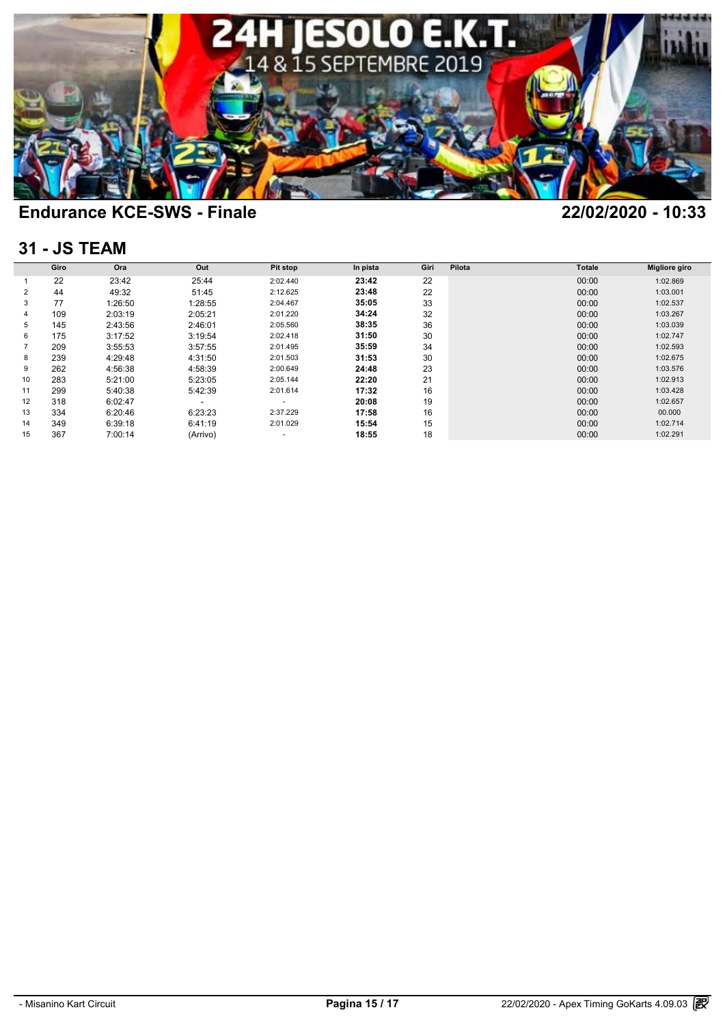

### **31 - JS TEAM**

|    | Giro | Ora     | Out      | Pit stop | In pista | Giri | Pilota | <b>Totale</b> | Migliore giro |
|----|------|---------|----------|----------|----------|------|--------|---------------|---------------|
|    | 22   | 23:42   | 25:44    | 2:02.440 | 23:42    | 22   |        | 00:00         | 1:02.869      |
| 2  | 44   | 49:32   | 51:45    | 2:12.625 | 23:48    | 22   |        | 00:00         | 1:03.001      |
| 3  | 77   | 1:26:50 | 1:28:55  | 2:04.467 | 35:05    | 33   |        | 00:00         | 1:02.537      |
| 4  | 109  | 2:03:19 | 2:05:21  | 2:01.220 | 34:24    | 32   |        | 00:00         | 1:03.267      |
| 5  | 145  | 2:43:56 | 2:46:01  | 2:05.560 | 38:35    | 36   |        | 00:00         | 1:03.039      |
| 6  | 175  | 3:17:52 | 3:19:54  | 2:02.418 | 31:50    | 30   |        | 00:00         | 1:02.747      |
|    | 209  | 3:55:53 | 3:57:55  | 2:01.495 | 35:59    | 34   |        | 00:00         | 1:02.593      |
| 8  | 239  | 4:29:48 | 4:31:50  | 2:01.503 | 31:53    | 30   |        | 00:00         | 1:02.675      |
| 9  | 262  | 4:56:38 | 4:58:39  | 2:00.649 | 24:48    | 23   |        | 00:00         | 1:03.576      |
| 10 | 283  | 5:21:00 | 5:23:05  | 2:05.144 | 22:20    | 21   |        | 00:00         | 1:02.913      |
| 11 | 299  | 5:40:38 | 5:42:39  | 2:01.614 | 17:32    | 16   |        | 00:00         | 1:03.428      |
| 12 | 318  | 6:02:47 |          | $\sim$   | 20:08    | 19   |        | 00:00         | 1:02.657      |
| 13 | 334  | 6:20:46 | 6:23:23  | 2:37.229 | 17:58    | 16   |        | 00:00         | 00.000        |
| 14 | 349  | 6:39:18 | 6:41:19  | 2:01.029 | 15:54    | 15   |        | 00:00         | 1:02.714      |
| 15 | 367  | 7:00:14 | (Arrivo) |          | 18:55    | 18   |        | 00:00         | 1:02.291      |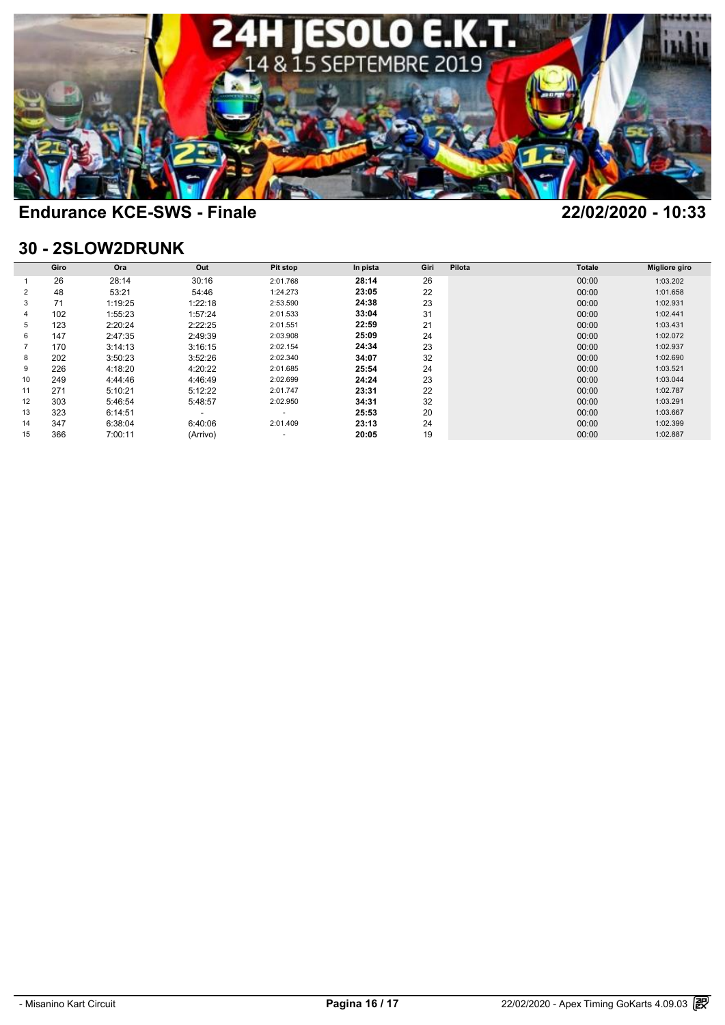

### **30 - 2SLOW2DRUNK**

| 30 - 2SLOW2DRUNK |      |         |          |                 |          |      |        |               |                      |  |
|------------------|------|---------|----------|-----------------|----------|------|--------|---------------|----------------------|--|
|                  | Giro | Ora     | Out      | <b>Pit stop</b> | In pista | Giri | Pilota | <b>Totale</b> | <b>Migliore giro</b> |  |
|                  | 26   | 28:14   | 30:16    | 2:01.768        | 28:14    | 26   |        | 00:00         | 1:03.202             |  |
| 2                | 48   | 53:21   | 54:46    | 1:24.273        | 23:05    | 22   |        | 00:00         | 1:01.658             |  |
| 3                | 71   | 1:19:25 | 1:22:18  | 2:53.590        | 24:38    | 23   |        | 00:00         | 1:02.931             |  |
| 4                | 102  | 1:55:23 | 1:57:24  | 2:01.533        | 33:04    | 31   |        | 00:00         | 1:02.441             |  |
| 5                | 123  | 2:20:24 | 2:22:25  | 2:01.551        | 22:59    | 21   |        | 00:00         | 1:03.431             |  |
| 6                | 147  | 2:47:35 | 2:49:39  | 2:03.908        | 25:09    | 24   |        | 00:00         | 1:02.072             |  |
|                  | 170  | 3:14:13 | 3:16:15  | 2:02.154        | 24:34    | 23   |        | 00:00         | 1:02.937             |  |
| 8                | 202  | 3:50:23 | 3:52:26  | 2:02.340        | 34:07    | 32   |        | 00:00         | 1:02.690             |  |
| 9                | 226  | 4:18:20 | 4:20:22  | 2:01.685        | 25:54    | 24   |        | 00:00         | 1:03.521             |  |
| 10               | 249  | 4:44:46 | 4:46:49  | 2:02.699        | 24:24    | 23   |        | 00:00         | 1:03.044             |  |
| 11               | 271  | 5:10:21 | 5:12:22  | 2:01.747        | 23:31    | 22   |        | 00:00         | 1:02.787             |  |
| 12               | 303  | 5:46:54 | 5:48:57  | 2:02.950        | 34:31    | 32   |        | 00:00         | 1:03.291             |  |
| 13               | 323  | 6:14:51 | -        | ٠               | 25:53    | 20   |        | 00:00         | 1:03.667             |  |
| 14               | 347  | 6:38:04 | 6:40:06  | 2:01.409        | 23:13    | 24   |        | 00:00         | 1:02.399             |  |
| 15               | 366  | 7:00:11 | (Arrivo) |                 | 20:05    | 19   |        | 00:00         | 1:02.887             |  |